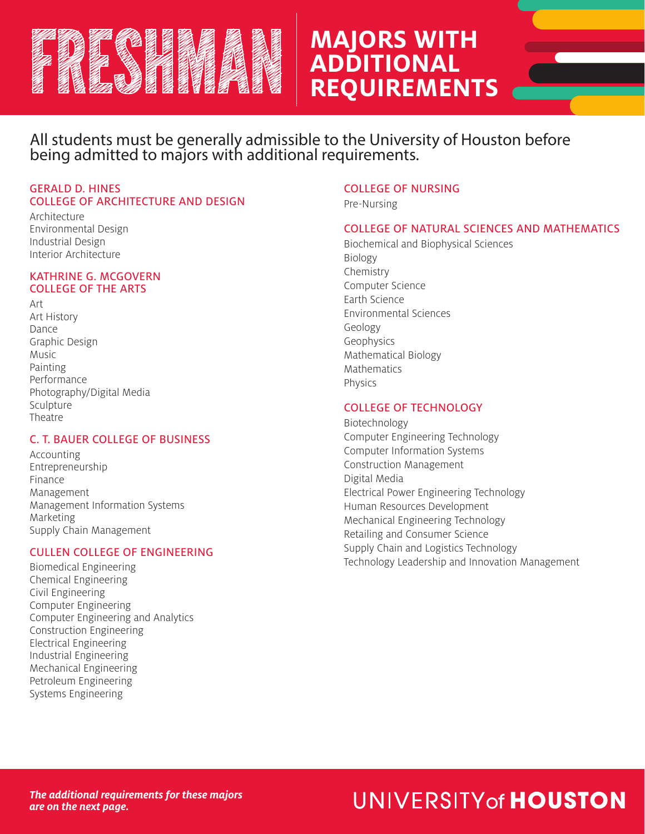

## **MAJORS WITH ADDITIONAL REQUIREMENTS**

All students must be generally admissible to the University of Houston before being admitted to majors with additional requirements.

#### GERALD D. HINES COLLEGE OF ARCHITECTURE AND DESIGN

Architecture Environmental Design Industrial Design Interior Architecture

#### KATHRINE G. MCGOVERN COLLEGE OF THE ARTS

Art Art History Dance Graphic Design Music Painting Performance Photography/Digital Media Sculpture Theatre

## C. T. BAUER COLLEGE OF BUSINESS

Accounting Entrepreneurship Finance Management Management Information Systems Marketing Supply Chain Management

## CULLEN COLLEGE OF ENGINEERING

Biomedical Engineering Chemical Engineering Civil Engineering Computer Engineering Computer Engineering and Analytics Construction Engineering Electrical Engineering Industrial Engineering Mechanical Engineering Petroleum Engineering Systems Engineering

## COLLEGE OF NURSING

Pre-Nursing

## COLLEGE OF NATURAL SCIENCES AND MATHEMATICS

Biochemical and Biophysical Sciences Biology Chemistry Computer Science Earth Science Environmental Sciences Geology Geophysics Mathematical Biology Mathematics Physics

## COLLEGE OF TECHNOLOGY

Biotechnology Computer Engineering Technology Computer Information Systems Construction Management Digital Media Electrical Power Engineering Technology Human Resources Development Mechanical Engineering Technology Retailing and Consumer Science Supply Chain and Logistics Technology Technology Leadership and Innovation Management

# UNIVERSITY of HOUSTON

*The additional requirements for these majors are on the next page.*